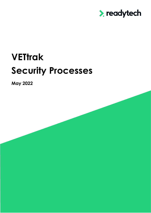

# **VETtrak Security Processes**

**May 2022**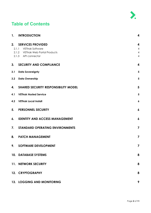

#### **Table of Contents**

| 1.          | <b>INTRODUCTION</b>                                                                                             | 4                                                                      |
|-------------|-----------------------------------------------------------------------------------------------------------------|------------------------------------------------------------------------|
| 2.<br>2.1.1 | <b>SERVICES PROVIDED</b><br><b>VETtrak Software</b><br>2.1.2 VETtrak Web Portal Products<br>2.1.3 API connector | $\boldsymbol{4}$<br>$\overline{4}$<br>$\overline{4}$<br>$\overline{4}$ |
| 3.          | <b>SECURITY AND COMPLIANCE</b>                                                                                  | $\overline{\mathbf{4}}$                                                |
| 3.1         | <b>Data Sovereignty</b>                                                                                         | $\overline{\mathbf{5}}$                                                |
| 3.2         | <b>Data Ownership</b>                                                                                           | $\overline{\mathbf{5}}$                                                |
| 4.          | <b>SHARED SECURITY RESPONSIBILITY MODEL</b>                                                                     | $5\phantom{1}$                                                         |
| 4.1         | <b>VETtrak Hosted Service</b>                                                                                   | $\overline{\mathbf{5}}$                                                |
| 4.2         | <b>VETtrak Local Install</b>                                                                                    | $\pmb{6}$                                                              |
| 5.          | <b>PERSONNEL SECURITY</b>                                                                                       | $\boldsymbol{6}$                                                       |
| 6.          | <b>IDENTITY AND ACCESS MANAGEMENT</b>                                                                           | $\boldsymbol{6}$                                                       |
| 7.          | <b>STANDARD OPERATING ENVIRONMENTS</b>                                                                          | $\overline{\mathbf{z}}$                                                |
| 8.          | <b>PATCH MANAGEMENT</b>                                                                                         | $\overline{\mathbf{z}}$                                                |
| 9.          | <b>SOFTWARE DEVELOPMENT</b>                                                                                     | $\overline{\mathbf{z}}$                                                |
|             | 10. DATABASE SYSTEMS                                                                                            | 8                                                                      |
|             | 11. NETWORK SECURITY                                                                                            | 8                                                                      |
|             | 12. CRYPTOGRAPHY                                                                                                | 8                                                                      |
|             | <b>13. LOGGING AND MONITORING</b>                                                                               | 9                                                                      |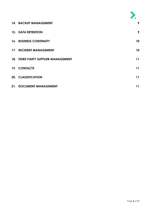| <b>14. BACKUP MANAGEMENT</b>        | 9               |
|-------------------------------------|-----------------|
| <b>15. DATA RETENTION</b>           | 9               |
| <b>16. BUSINESS CONTINUITY</b>      | 10 <sup>°</sup> |
| 17. INCIDENT MANAGEMENT             | 10              |
| 18. THIRD PARTY SUPPLIER MANAGEMENT | 11              |
| 19. CONTACTS                        | 11              |
| 20. CLASSIFICATION                  | 11              |
| 21. DOCUMENT MANAGEMENT             | 11              |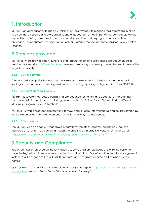

#### <span id="page-3-0"></span>**1. Introduction**

VETtrak is an application suite used by Training Services Providers to manage their operations. Making sure your data is secure and protecting it is one of ReadyTech's most important responsibilities. We are committed to being transparent about our security practices and helping you understand our approach. This document has been written primarily around the security and operations of our hosted services.

## <span id="page-3-1"></span>**2. Services provided**

VETtrak software provides many functions and features to our end users. These are documented in detail on our website at [VETtrak Features](https://www.vettrak.com.au/features/) however, a summary has been provided below of some of the major functionality.

#### <span id="page-3-2"></span>**2.1.1 VETtrak Software**

The core desktop application used by the training organisation administrator to manage records relating to the student and learning environment including reporting and generation of AVETMISS files.

#### <span id="page-3-3"></span>**2.1.2 VETtrak Web Portal Products**

VEttrak has several web-based portals that are designed for trainers and students to manage their information within the platform, including but not limited to: Trainer Portal, Student Portal, VETenrol, VETsurvey, Progress Portal, VETembark.

VETenrol, A web-based portal for students to view and self-enrol into various training courses offered by the training provider is available amongst other functionality in other portals.

#### <span id="page-3-4"></span>**2.1.3 API connector**

The VETtrak API is an open API that allows integrations with other services. This can be used for a multitude of tasks from bulk enrolling students to creating an interactive website for the end user. <https://www.vettrak.com.au/software/apis/technical-documentation/>

# <span id="page-3-5"></span>**3. Security and Compliance**

ReadyTech has established an industry-leading security program, dedicated to ensuring customers have the highest confidence in our custodianship of their data. Our Information Security Management System (ISMS) is aligned to the ISO 27000 standards and is regularly audited and assessed by third parties.

Our ISO 27001:2013 certificate is available on the JAS-ANZ register: [https://register.jas-anz.org/certified](https://register.jas-anz.org/certified-organisations)[organisations](https://register.jas-anz.org/certified-organisations) (search "ReadyTech - Education & Work Pathways")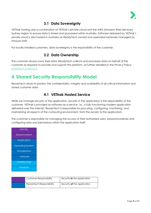

#### **3.1 Data Sovereignty**

<span id="page-4-0"></span>VETtrak hosting uses a combination of VETtrak's private cloud and the AWS (Amazon Web Services) Sydney region to ensure data is stored and processed within Australia. Software delivered by VETtrak's private cloud is also hosted in Australia on ReadyTech owned and operated hardware managed by inhouse staff.

<span id="page-4-1"></span>For locally installed customers, data sovereignty is the responsibility of the customer.

#### **3.2 Data Ownership**

The customer always owns their data. ReadyTech collects and processes data on behalf of the customer as required to provide and support the platform, as further detailed in the Privacy Policy: [readytech.io/privacy](https://www.readytech.com.au/privacy)

#### <span id="page-4-2"></span>**4. Shared Security Responsibility Model**

ReadyTech strives to protect the confidentiality, integrity and availability of all critical information and stored customer data.

#### **4.1 VETtrak Hosted Service**

<span id="page-4-3"></span>While we manage security *of* the application, security *in* the application is the responsibility of the customer. VETtrak is provided as software-as-a-service, i.e., a fully functioning modern application delivered over the internet. ReadyTech is responsible for procuring, configuring, monitoring, and maintaining all aspects of the computing environment, from the servers to the application.

The customer is responsible for managing the access of their authorised users, password policies and configuring roles and permissions within the application itself.

| Identity                |
|-------------------------|
| Data/Content            |
| <b>Application</b>      |
| <b>Operating System</b> |
| Virtualisation          |
| <b>Network</b>          |
| Infrastructure          |
| <b>Physical</b>         |

| Customer Responsibility  | Security in the application |
|--------------------------|-----------------------------|
| ReadyTech Responsibility | Security of the application |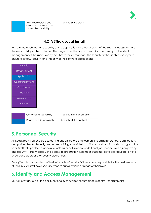

| AWS Public Cloud and         | Security of the cloud |
|------------------------------|-----------------------|
| ReadyTech Private Cloud      |                       |
| <b>Shared Responsibility</b> |                       |
|                              |                       |

#### **4.2 VETtrak Local Install**

<span id="page-5-0"></span>While ReadyTech manage security *of* the application, all other aspects of the security ecosystem are the responsibility of the customer. This ranges from the physical security of servers up to the identity management of the users. ReadyTech however still manages the security at the application layer to ensure a safety, security, and integrity of the software applications.

| Identity                |
|-------------------------|
| Data/Content            |
| Application             |
| <b>Operating System</b> |
| Virtualisation          |
| <b>Network</b>          |
| Infrastructure          |
| Physical                |
|                         |

| Customer Responsibility  | Security <b>in</b> the application |
|--------------------------|------------------------------------|
| ReadyTech Responsibility | Security <b>of</b> the application |

#### <span id="page-5-1"></span>**5. Personnel Security**

All ReadyTech staff undergo screening checks before employment including reference, qualification, and police checks. Security awareness training is provided at initiation and continuously throughout the year. Staff with privileged access to systems or data receive additional job-specific training on privacy and security. Personnel requiring access to production systems or customer data are required to have undergone appropriate security clearances.

ReadyTech has appointed a Chief Information Security Officer who is responsible for the performance of the ISMS. All staff have security responsibilities assigned as part of their roles.

# <span id="page-5-2"></span>**6. Identity and Access Management**

VETtrak provides out of the box functionality to support secure access control for customers: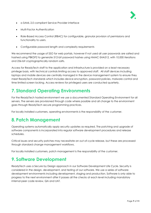

- a SAML 2.0 compliant Service Provider interface
- Multi-Factor Authentication
- Role-Based Access Control (RBAC) for configurable, granular provision of permissions and functionality to users.
- Configurable password length and complexity requirements

We recommend the usage of SSO for web portals, however if not used all user passwords are salted and hashed using PBKDF2 to generate 512-bit password hashes using HMAC-SHA512, with 10,000 iterations and 256-bit cryptographically random salts.

Access for ReadyTech staff to the application and infrastructure is provided on a least necessary privilege basis, with technical controls limiting access to approved staff. All staff devices including laptops and mobile devices are centrally managed in the device management system to ensure they meet ReadyTech standards which includes device encryption, password policies, malware control and time limited screen locking. Access reviews for privileged users are conducted quarterly.

#### <span id="page-6-0"></span>**7. Standard Operating Environments**

For the ReadyTech hosted environment we use a documented Standard Operating Environment for all servers. The servers are provisioned through code where possible and all change to the environment goes through ReadyTech secure programming practices.

For locally installed customers, operating environments is the responsibility of the customer.

#### <span id="page-6-1"></span>**8. Patch Management**

Operating systems automatically apply security updates as required. The patching and upgrade of software components is incorporated into regular software development procedures and release schedules.

Critical issues and security patches may necessitate an out-of-cycle release, but these are processed through standard change management workflows.

For locally installed customers, patch management is the responsibility of the customer.

#### <span id="page-6-2"></span>**9. Software Development**

ReadyTech uses a Secure by Design approach in our Software Development Life Cycle. Security is considered in the design, development, and testing of our software. We use a series of software development environments including development, staging and production. Software is only able to progress to the next environment after it passes all the checks at each level including mandatory internal peer code review, QA and UAT.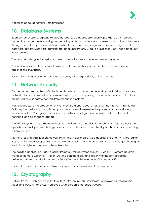

Access to code repositories is strictly limited.

#### <span id="page-7-0"></span>**10. Database Systems**

Each customer uses a logically isolated database. Databases are securely provisioned with unique credentials per customer ensuring secure data partitioning. All use and administration of the database is through the web application and application frameworks minimizing any exposure through direct database access. Database administrator accounts are only used to provision less privileged accounts for system use.

The network is designed to restrict access to the database to the fewest necessary systems.

Production, test and development environments are strictly separated on both the database and application server basis.

For locally installed customers, database security is the responsibility of the customer.

#### <span id="page-7-1"></span>**11. Network Security**

For the hosted service, ReadyTech divides its systems into separate networks (VLANs (Virtual Local Area Network)) to better protect more sensitive data. Systems supporting testing and development activities are hosted on a separate network from production systems.

Network access to the production environment from open, public networks (the internet) is restricted. Only required network protocols and ports are exposed to minimize the potential attack surface for malicious actors. Changes to the production network configuration are restricted to authorised personnel and all changes logged.

The VETtrak system uses a shared everything multitenancy model. Each application instance hosts the operations of multiple tenants. Logical separation of tenants is controlled by application and operating system security.

VETtrak uses Web Application Firewalls (WAF) that helps protect web applications and APIs (Application Programming Interfaces) against common web exploits. Configured rulesets also provide geo-filtering of traffic from high-risk countries outside Australia.

The desktop application is delivered by Remote Desktop Protocol over TLS via RDP (Remote Desktop Protocol) Remote Gateway. This ensures the confidentiality and integrity of the services being delivered. All web products hosted by ReadyTech are delivered using TLS on port 443.

For locally installed customers, network security is the responsibility of the customer.

# <span id="page-7-2"></span>**12. Cryptography**

Data in transit, is only encrypted with ASD (Australian Signals Directorate) Approved Cryptographic Algorithms (AACAs) and ASD Approved Cryptographic Protocols (AACPs).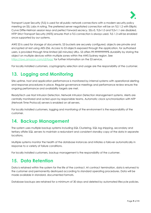

Transport Layer Security (TLS) is used for all public network connections with a modern security policy meeting an SSL Labs A rating. The preferred server negotiated connection will be on TLS 1.2 with Elliptic Curve Diffie-Helman session keys and perfect forward secrecy. SSLv3, TLSv1.0 and TLSv1.1 are disabled. HTTP Strict Transport Security (HSTS) ensures that a TLS connection is always used. TLS 1.3 will be enabled once supported by our systems.

AWS S3 is used for storage of documents. S3 buckets are securely configured, objects are private and encrypted at rest using AES-256. Access to S3 objects exposed through the application, for authorised users, is provided through time limited (60 minutes) URLs. S3 offers 99.999999999% durability by storing the object on multiple devices within multiple zones within the AWS Sydney region. See <https://aws.amazon.com/s3/faqs/> for further information on the S3 service.

For locally installed customers, cryptography selection and usage are the responsibility of the customer.

## <span id="page-8-0"></span>**13. Logging and Monitoring**

Site uptime, host and application performance is monitored by internal systems with operational alerting and response procedures in place. Regular governance meetings and performance review ensure the ongoing performance and availability targets are met.

ReadyTech use Host Intrusion Detection, Network Intrusion Detection Management systems. Alerts are centrally monitored and acted upon by responsible teams. Automatic clock synchronisation with NTP (Network Time Protocol) servers is enabled on all servers.

For locally installed customers, logging and monitoring of the environment is the responsibility of the customer.

#### <span id="page-8-1"></span>**14. Backup Management**

The system uses multiple backup systems including SQL Clustering, SQL log shipping, secondary and tertiary offsite SQL servers to maintain a redundant and consistent standby copy of the data in separate locations.

Multiple systems monitor the health of the database instances and initiates a failover automatically in response to a variety of failure conditions.

For locally installed customers, backup management is the responsibility of the customer.

#### <span id="page-8-2"></span>**15. Data Retention**

Data is retained within the system for the life of the contract. At contract termination, data is returned to the customer and permanently destroyed according to standard operating procedures. Data will be made available in standard, documented formats.

Database backups are retained for a minimum of 30 days and deleted by automated lifecycle policies.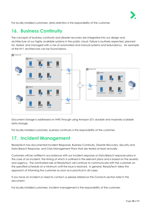

For locally installed customers, data retention is the responsibility of the customer.

# <span id="page-9-0"></span>**16. Business Continuity**

The concepts of business continuity and disaster recovery are integrated into our design and architecture of our highly available systems in the public cloud. Failure is routinely expected, planned for, tested, and managed with a mix of automated and manual systems and redundancy. An example of the N+1 architecture can be found below.



Document storage is addressed on AWS through using Amazon S3's durable and massively scalable data storage.

For locally installed customers, business continuity is the responsibility of the customer.

#### <span id="page-9-1"></span>**17. Incident Management**

ReadyTech has documented Incident Response, Business Continuity, Disaster Recovery, Security and Data Breach Response, and Crisis Management Plans that are tested at least annually.

Customers will be notified in accordance with our Incident response or Data Breach response plans in the case of an incident, the timing of which is outlined in the relevant plans and is based on the severity and urgency. The nominated role at ReadyTech will continue to communicate with the customer on the specified schedule at a minimum until the issue is resolved. In general, ReadyTech takes the approach of informing the customer as soon as is practical in all cases.

If you have an incident or need to contact us please reference the Contacts section later in this document.

For locally installed customers, incident management is the responsibility of the customer.